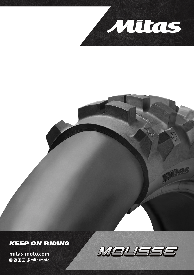

## **KEEP ON RIDING**

**mitas-moto.com**<br>@@@@@mitasmoto